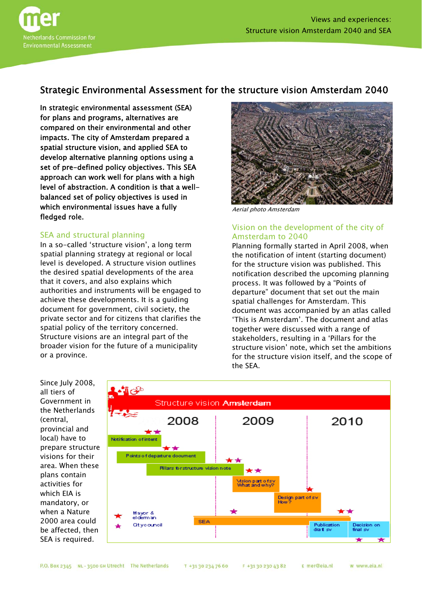

# Strategic Environmental Assessment for the structure vision Amsterdam 2040

In strategic environmental assessment (SEA) for plans and programs, alternatives are compared on their environmental and other impacts. The city of Amsterdam prepared a spatial structure vision, and applied SEA to develop alternative planning options using a set of pre-defined policy objectives. This SEA approach can work well for plans with a high level of abstraction. A condition is that a wellbalanced set of policy objectives is used in which environmental issues have a fully fledged role.

# SEA and structural planning

In a so-called 'structure vision', a long term spatial planning strategy at regional or local level is developed. A structure vision outlines the desired spatial developments of the area that it covers, and also explains which authorities and instruments will be engaged to achieve these developments. It is a guiding document for government, civil society, the private sector and for citizens that clarifies the spatial policy of the territory concerned. Structure visions are an integral part of the broader vision for the future of a municipality or a province.



Aerial photo Amsterdam

# Vision on the development of the city of Amsterdam to 2040

Planning formally started in April 2008, when the notification of intent (starting document) for the structure vision was published. This notification described the upcoming planning process. It was followed by a "Points of departure" document that set out the main spatial challenges for Amsterdam. This document was accompanied by an atlas called 'This is Amsterdam'. The document and atlas together were discussed with a range of stakeholders, resulting in a 'Pillars for the structure vision' note, which set the ambitions for the structure vision itself, and the scope of the SEA.

Since July 2008, all tiers of Government in the Netherlands (central, provincial and local) have to prepare structure visions for their area. When these plans contain activities for which EIA is mandatory, or when a Nature 2000 area could be affected, then SEA is required.

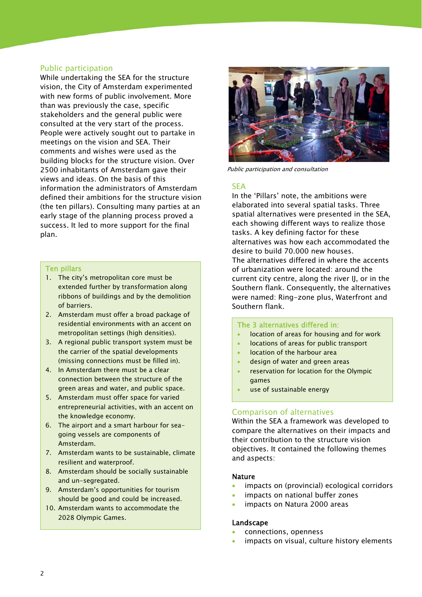# Public participation

While undertaking the SEA for the structure vision, the City of Amsterdam experimented with new forms of public involvement. More than was previously the case, specific stakeholders and the general public were consulted at the very start of the process. People were actively sought out to partake in meetings on the vision and SEA. Their comments and wishes were used as the building blocks for the structure vision. Over 2500 inhabitants of Amsterdam gave their views and ideas. On the basis of this information the administrators of Amsterdam defined their ambitions for the structure vision (the ten pillars). Consulting many parties at an early stage of the planning process proved a success. It led to more support for the final plan.

## Ten pillars

- 1. The city's metropolitan core must be extended further by transformation along ribbons of buildings and by the demolition of barriers.
- 2. Amsterdam must offer a broad package of residential environments with an accent on metropolitan settings (high densities).
- 3. A regional public transport system must be the carrier of the spatial developments (missing connections must be filled in).
- 4. In Amsterdam there must be a clear connection between the structure of the green areas and water, and public space.
- 5. Amsterdam must offer space for varied entrepreneurial activities, with an accent on the knowledge economy.
- 6. The airport and a smart harbour for seagoing vessels are components of Amsterdam.
- 7. Amsterdam wants to be sustainable, climate resilient and waterproof.
- 8. Amsterdam should be socially sustainable and un-segregated.
- 9. Amsterdam's opportunities for tourism should be good and could be increased.
- 10. Amsterdam wants to accommodate the 2028 Olympic Games.



Public participation and consultation

# **SFA**

In the 'Pillars' note, the ambitions were elaborated into several spatial tasks. Three spatial alternatives were presented in the SEA, each showing different ways to realize those tasks. A key defining factor for these alternatives was how each accommodated the desire to build 70.000 new houses. The alternatives differed in where the accents of urbanization were located: around the current city centre, along the river IJ, or in the Southern flank. Consequently, the alternatives were named: Ring-zone plus, Waterfront and Southern flank.

### The 3 alternatives differed in:

- location of areas for housing and for work
- locations of areas for public transport
- location of the harbour area
- design of water and green areas
- reservation for location for the Olympic games
- use of sustainable energy

# Comparison of alternatives

Within the SEA a framework was developed to compare the alternatives on their impacts and their contribution to the structure vision objectives. It contained the following themes and aspects:

# **Nature**

- impacts on (provincial) ecological corridors
- impacts on national buffer zones
- impacts on Natura 2000 areas

### Landscape

- connections, openness
- impacts on visual, culture history elements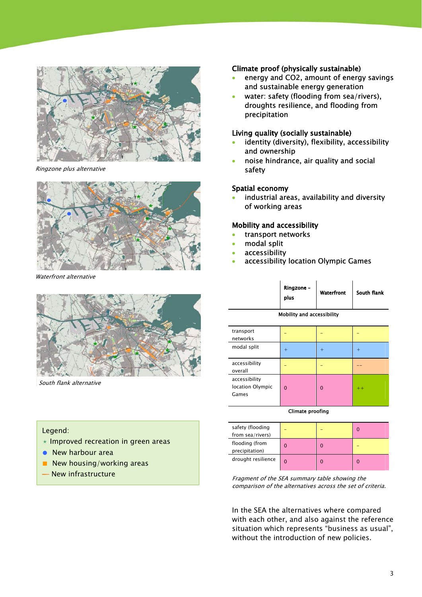

Ringzone plus alternative



Waterfront alternative



South flank alternative

# Legend:

í

- $\star$  Improved recreation in green areas
- New harbour area
- New housing/working areas
- 

# Climate proof (physically sustainable)

- energy and CO2, amount of energy savings and sustainable energy generation
- water: safety (flooding from sea/rivers), droughts resilience, and flooding from precipitation

# Living quality (socially sustainable)

- identity (diversity), flexibility, accessibility and ownership
- noise hindrance, air quality and social safety

# Spatial economy

 industrial areas, availability and diversity of working areas

## Mobility and accessibility

- transport networks
- modal split
- accessibility
- accessibility location Olympic Games

|                            | Ringzone -<br>plus | Waterfront | South flank |  |
|----------------------------|--------------------|------------|-------------|--|
| Mahiling and accordibiling |                    |            |             |  |

|  | Mobility and accessibility |
|--|----------------------------|
|--|----------------------------|

| transport<br>networks                      |          |          |       |
|--------------------------------------------|----------|----------|-------|
| modal split                                | $\pm$    | $^+$     | $\pm$ |
| accessibility<br>overall                   |          |          |       |
| accessibility<br>location Olympic<br>Games | $\Omega$ | $\Omega$ | $++$  |

#### Climate proofing

| safety (flooding<br>from sea/rivers) |   |  |
|--------------------------------------|---|--|
| flooding (from<br>precipitation)     |   |  |
| drought resilience                   | ŋ |  |

**New infrastructure New infrastructure** Fragment of the SEA summary table showing the comparison of the alternatives across the set of criteria.

> In the SEA the alternatives where compared with each other, and also against the reference situation which represents "business as usual", without the introduction of new policies.